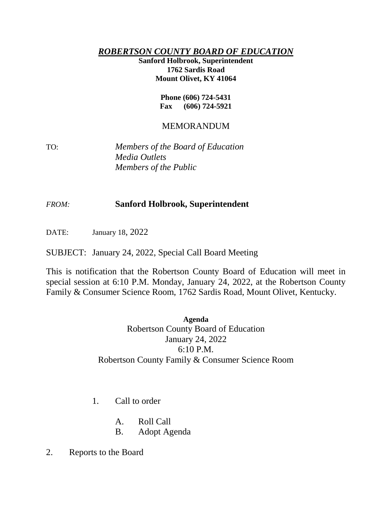## *ROBERTSON COUNTY BOARD OF EDUCATION*

**Sanford Holbrook, Superintendent 1762 Sardis Road Mount Olivet, KY 41064**

> **Phone (606) 724-5431 Fax (606) 724-5921**

## MEMORANDUM

TO: *Members of the Board of Education Media Outlets Members of the Public*

## *FROM:* **Sanford Holbrook, Superintendent**

DATE: January 18, 2022

SUBJECT: January 24, 2022, Special Call Board Meeting

This is notification that the Robertson County Board of Education will meet in special session at 6:10 P.M. Monday, January 24, 2022, at the Robertson County Family & Consumer Science Room, 1762 Sardis Road, Mount Olivet, Kentucky.

> **Agenda** Robertson County Board of Education January 24, 2022 6:10 P.M. Robertson County Family & Consumer Science Room

- 1. Call to order
	- A. Roll Call
	- B. Adopt Agenda
- 2. Reports to the Board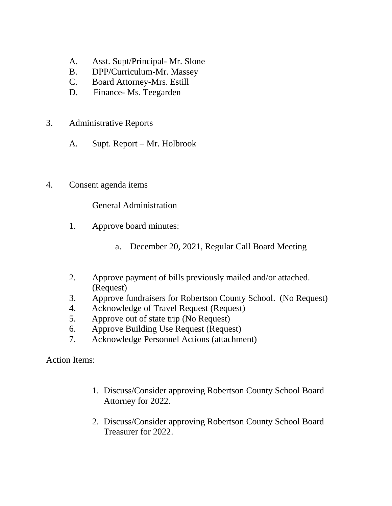- A. Asst. Supt/Principal- Mr. Slone
- B. DPP/Curriculum-Mr. Massey
- C. Board Attorney-Mrs. Estill
- D. Finance- Ms. Teegarden
- 3. Administrative Reports
	- A. Supt. Report Mr. Holbrook
- 4. Consent agenda items

General Administration

- 1. Approve board minutes:
	- a. December 20, 2021, Regular Call Board Meeting
- 2. Approve payment of bills previously mailed and/or attached. (Request)
- 3. Approve fundraisers for Robertson County School. (No Request)
- 4. Acknowledge of Travel Request (Request)
- 5. Approve out of state trip (No Request)
- 6. Approve Building Use Request (Request)
- 7. Acknowledge Personnel Actions (attachment)

Action Items:

- 1. Discuss/Consider approving Robertson County School Board Attorney for 2022.
- 2. Discuss/Consider approving Robertson County School Board Treasurer for 2022.